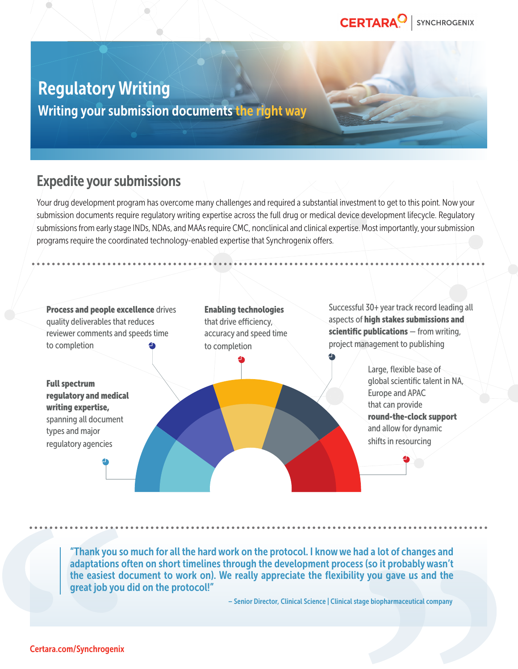# Regulatory Writing

Writing your submission documents the right way

## Expedite your submissions

Your drug development program has overcome many challenges and required a substantial investment to get to this point. Now your submission documents require regulatory writing expertise across the full drug or medical device development lifecycle. Regulatory submissions from early stage INDs, NDAs, and MAAs require CMC, nonclinical and clinical expertise. Most importantly, your submission programs require the coordinated technology-enabled expertise that Synchrogenix offers.



"Thank you so much for all the hard work on the protocol. I know we had a lot of changes and adaptations often on short timelines through the development process (so it probably wasn't the easiest document to work on). We really appreciate the flexibility you gave us and the great job you did on the protocol!"

– Senior Director, Clinical Science | Clinical stage biopharmaceutical company